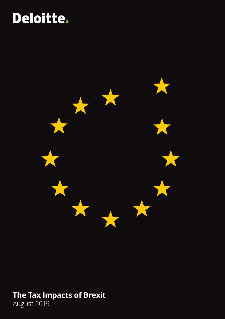# Deloitte.



# **The Tax Impacts of Brexit**

August 2019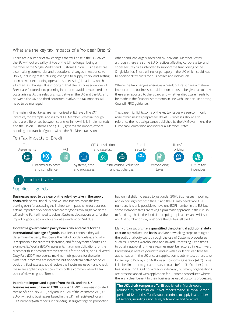# What are the key tax impacts of a 'no deal' Brexit?

There are a number of tax changes that will arise if the UK leaves the EU without a deal by virtue of the UK no longer being a member of the Single Market and Customs Union. Businesses are also making commercial and operational changes in response to Brexit, including restructuring, changes to supply chain, and setting up in new (or expanding operations in existing) locations, which all entail tax changes. It is important that the tax consequences of Brexit are factored into planning in order to avoid unexpected tax costs arising. As the relationships between the UK and the EU, and between the UK and third countries, evolve, the tax impacts will need to be managed.

The main indirect taxes are harmonised at EU level. The VAT Directive, for example, applies to all EU Member States (although there are differences between countries in how this is implemented), and the Union Customs Code ('UCC') governs the import, export, handling and transit of goods within the EU. Direct taxes, on the

other hand, are largely governed by individual Member States although there are some EU Directives affecting corporate tax and social security rules intended to support the functioning of the Single Market. These will no longer apply in the UK, which could lead to additional tax costs for businesses and individuals.

Where the tax changes arising as a result of Brexit have a material impact on the business, consideration needs to be given as to how these are reported to the Board and whether disclosure needs to be made in the financial statements in line with Financial Reporting Council (FRC) guidance.

This paper highlights some of the key tax issues we see commonly arise as businesses prepare for Brexit. Businesses should also reference the no deal guidance published by the UK Government, the European Commission and individual Member States.

# Ten Tax Impacts of Brexit



# **1** Indirect taxes

# Supplies of goods

#### **Businesses need to be clear on the role they take in the supply**

**chain** and the resulting duty and VAT implications: this is the key starting point for assessing the indirect tax impact. Where a business acts as importer or exporter of record for goods moving between the UK and the EU, it will need to submit Customs declarations and, for the import of goods, account for any duties and import VAT due.

**Incoterms govern which party bears risk and costs for the international carriage of goods**. In a Brexit context, they will determine the party that bears the risk of border delays, and who is responsible for customs clearance, and for payment of duty. For example, Ex Works (EXW) represents maximum obligations for the customer (but does not remove tax risks for the seller) and Delivered Duty Paid (DDP) represents maximum obligations for the seller. Note that Incoterms are indicative but not determinative of the VAT position. Businesses should review the Incoterms used – and check these are applied in practice – from both a commercial and a tax point of view in light of Brexit.

**In order to import and export from the EU and the UK,** 

**businesses must have an EORI number.** HMRC's analysis indicated that as of February 2019, only around 17% of the estimated 240,000 EU-only trading businesses based in the UK had registered for an EORI number (with reports in early August suggesting this proportion had only slightly increased to just under 30%). Businesses importing and exporting from both the UK and the EU may need two EORI numbers. It is only possible to have one EORI number in the EU, but some Member States are taking a pragmatic approach in the run up to Brexit e.g. the Netherlands is accepting applications and will issue an EORI number on 'day one' once the UK has left the EU.

Many organisations have **quantified the potential additional duty cost on a product-line basis**, and are now taking steps to mitigate the additional duty costs through the use of Customs procedures such as Customs Warehousing and Inward Processing. Lead times to obtain approval for these regimes must be factored in, e.g. Inward Processing is relatively quick to obtain with a c.60 day lead time for authorisation in the UK once an application is submitted; others take longer e.g. c.150 days for Authorised Economic Operator (AEO). Time is limited in order to get approvals in place before 31 October (and has passed for AEO if not already underway), but many organisations are pressing ahead with application for Customs procedures where there is a clear benefit to their business as usual Customs processes.

**The UK's draft temporary Tariff** published in March would reduce duty rates to nil on 87% of imports to the UK by value for a period of 12 months. Tariffs would continue to apply in a number of sectors, including agriculture, automotive and ceramics.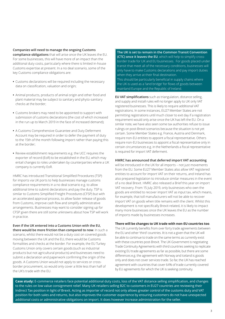#### **Companies will need to manage the ongoing Customs**

**compliance obligations** that will arise once the UK leaves the EU. For some businesses, this will have more of an impact than the additional duty costs, particularly where there is limited in-house Customs expertise at present. In a no deal scenario, some of the key Customs compliance obligations are:

- **•** Customs declarations will be required including the necessary data on classification, valuation and origin;
- **•** Animal products, products of animal origin and other food and plant material may be subject to sanitary and phyto-sanitary checks at the border;
- **•** Customs brokers may need to be appointed to support with submission of customs declarations (the cost of which increased in the run up to March 2019 in the face of increased demand);
- **•** A Customs Comprehensive Guarantee and Duty Deferment Account may be required in order to defer the payment of duty to the 15th of the month following import rather than paying this at the border;
- **•** Review establishment requirements e.g. the UCC requires the exporter of record (EoR) to be established in the EU, which may entail changes to roles undertaken by counterparties where a UK company is currently EoR.

HMRC has introduced Transitional Simplified Procedures (TSP) for imports via UK ports to help businesses manage customs compliance requirements in a no deal scenario e.g. to allow additional time to submit declarations and pay the duty. TSP is similar to Customs Simplified Freight Procedures (CFSP) but with an accelerated approval process, to allow faster release of goods from Customs, improve cash flow and simplify administrative arrangements. Businesses may want to consider signing up for CFSP given there are still some unknowns about how TSP will work in practice.

**Even if the UK entered into a Customs Union with the EU, there would be more friction than compared to now**. In such a scenario, whilst there would not be a duty cost on covered goods moving between the UK and the EU, there would be Customs formalities and checks at the border. For example, the EU Turkey Customs Union only covers certain goods (such as industrial products but not agricultural products) and businesses need to submit a declaration and paperwork confirming the origin of the goods. A Customs Union would not apply to services or crossborder procurement, so would only cover a little less than half of the UK's trade with the EU.

**The UK is set to remain in the Common Transit Convention (CTC) once it leaves the EU**, which will help to simplify crossborder trade for UK and EU businesses. For goods placed under transit that meet all of the necessary conditions, businesses will only have to make Customs declarations and pay import duties when they arrive at their final destination. This should be particularly beneficial in supply chains where the UK is used as a 'land bridge' for flows of goods between

mainland Europe and the Republic of Ireland.

**EU VAT simplifications** such as triangulation, distance selling, and supply and install rules will no longer apply to UK only VAT registered businesses. This is likely to require additional VAT registrations. In some instances, EU27 Member States are not permitting registrations until much closer to exit day if a registration requirement would only arise once the UK has left the EU. On a similar note, we have also seen some tax authorities refuse to issue rulings on post-Brexit scenarios because the situation is not yet certain. Some Member States e.g. France, Austria and Denmark, require non-EU entities to appoint a fiscal representative. Others require non-EU businesses to appoint a fiscal representative only in certain circumstances e.g. in the Netherlands a fiscal representative is required for import VAT deferment.

#### **HMRC has announced that deferred import VAT accounting**

will be introduced in the UK for all imports – not just movements from the EU. Some EU27 Member States also allow VAT registered entities to account for import VAT on their returns, and Ireland has also prepared legislation to introduce similar measures in the event of a no deal Brexit. HMRC also released a Brief this year on import VAT recovery. From 15 July 2019, only businesses who own the goods are entitled to recover import VAT as input tax, which means, for example, that toll manufacturers will not be able to recover import VAT on goods when title remains with the client. Whilst this development is not specifically Brexit-related, it is likely to impact many more businesses once the UK leaves the EU as the number of imports made by businesses increases.

#### **There will be changes to UK trade with non-EU countries too**.

The UK currently benefits from over forty trade agreements between the EU and other 'third' countries. IIt is not a given that the UK will be able to continue to trade on the same terms as currently exist with these countries post-Brexit. The UK Government is negotiating Trade Continuity Agreements with third countries seeking to replicate existing EU trade agreements as far as possible, but there are some differences e.g. the agreement with Norway and Iceland is goods only and does not cover services trade. So far, the UK has reached agreement with countries that cover 64% of trade currently covered by EU agreements for which the UK is seeking continuity.

**Case study:** E-commerce retailers face potential additional duty costs, loss of the VAT distance selling simplification, and changes to the rules on low value consignment relief. Many UK retailers selling B2C to customers in EU27 countries are reviewing their Indirect Tax position in light of Brexit. Acting as importer of record not only allows greater control of the customs duty and VAT position for both sales and returns, but also improves the customer experience by ensuring customers do not have unexpected additional costs or administrative obligations on import. It does however increase administration for the seller.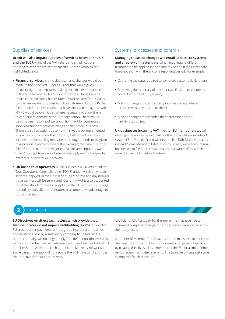# Supplies of services

**Brexit will also impact supplies of services between the UK and the EU27**. Many of the VAT reliefs and simplifications applying to services are sector-specific. Some examples are highlighted below:

- **• Financial services:** In a no deal scenario, changes would be made to the Specified Supplies Order that would give VAT recovery rights to taxpayers making certain exempt supplies of financial services to EU27 counterparties. This is likely to result in a significantly higher rate of VAT recovery for UK based companies making supplies to EU27 customers. Existing Partial Exemption Special Methods that have already been agreed with HMRC would be overridden where necessary to allow them to continue to operate without renegotiation. There would be adjustments to input tax apportionment for businesses supplying financial services alongside their main business. There are still questions as to how this would be implemented in practice; in particular the Statutory Instrument laid does not include anti-forestalling measures so thought needs to be given to appropriate recovery where (for example) the time of supply falls after Brexit, but the majority of associated input tax was "used" during a time period when the supply was not a specified exempt supply with VAT recovery.
- **• UK based tour operators** will be subject to a UK version of the Tour Operators Margin Scheme (TOMS) under which only travel services 'enjoyed' in the UK will be subject to VAT and any non-UK travel services will be zero-rated. Currently, VAT is also accounted for at the standard rate for supplies in the EU, and so the change potentially puts UK tour operators at a competitive advantage to EU companies.

# Systems, processes and controls

**Managing these tax changes will entail updates to systems and a review of master data**, which may require different treatment to be applied in the same tax period if the Brexit date does not align with the end of a reporting period. For example:

- **•** Capturing the data required to complete customs declarations;
- **•** Reviewing the accuracy of product classification to ensure the correct amount of duty is paid;
- **•** Making changes to counterparty information e.g. where a customer has relocated to the EU;
- **•** Making changes to tax codes that determine the VAT liability of supplies.

**UK businesses incurring VAT in other EU member states** will no longer be able to recover VAT via the EU cross-border refund system ('8th Directive') and will need to file '13th Directive' claims instead. Some Member States, such as France, were encouraging businesses to file 8th Directive claims in advance of 29 March in order to use the EU refund system.

# **2** Corporate

**EU Directives on direct tax matters which provide that Member States do not impose withholding tax** (WHT) on intra-EU cross-border payments of intra-group interest and royalties, and dividends paid by a subsidiary company to its foreign EU parent company, will no longer apply. The default position will be to rely on Double Tax Treaties between the UK and each individual EU Member State. Whilst the UK has an extensive treaty network, in some cases the treaty will not reduce the WHT rate to nil as under the Directive (for example, UK/Italy,

UK/Poland, UK/Portugal). Furthermore, this may give rise to increased compliance obligations in securing clearances to apply the treaty rates.

A number of Member States have adopted measures to minimise the direct tax impact of Brexit for domestic taxpayers, typically by treating the UK as if it is a member of the EU for a limited time period, even in a no deal scenario. The table below sets out some examples of such measures.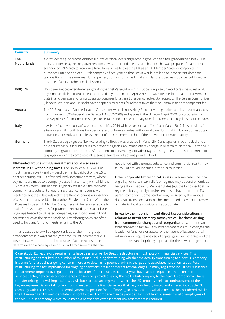| <b>Country</b>            | <b>Summary</b>                                                                                                                                                                                                                                                                                                                                                                                                                                                                                                                                                                                                                            |
|---------------------------|-------------------------------------------------------------------------------------------------------------------------------------------------------------------------------------------------------------------------------------------------------------------------------------------------------------------------------------------------------------------------------------------------------------------------------------------------------------------------------------------------------------------------------------------------------------------------------------------------------------------------------------------|
| <b>The</b><br>Netherlands | A draft decree (Conceptbeleidsbesluit inzake fiscaal overgangsrecht in geval van een terugtrekking van het VK uit<br>de EU zonder terugtrekkingsovereenkomst) was published in early March 2019. This was prepared for a no deal<br>scenario on 29 March to introduce transitional rules to treat the UK as an EU Member State for corporate tax<br>purposes until the end of a Dutch company's fiscal year so that Brexit would not lead to inconsistent domestic<br>tax positions in the same year. It is expected, but not confirmed, that a similar draft decree would be published in<br>advance of a 31 October 'no deal' scenario. |
| <b>Belgium</b>            | Brexit law (Wet betreffende de terugtrekking van het Verenigd Koninkrijk uit de Europese Unie or Loi relative au retrait du<br>Royaume-Uni de l'Union européenne) received Royal Assent on 3 April 2019. The UK is deemed to remain an EU Member<br>State in a no deal scenario for corporate tax purposes for a transitional period, subject to reciprocity. The Belgian Communities<br>(Flanders, Wallonia and Brussels) have adopted similar acts for relevant taxes that the Communities are competent for.                                                                                                                           |
| Austria                   | The 2018 Austria-UK Double Taxation Convention (which is not strictly Brexit-driven legislation) applies to Austrian taxes<br>from 1 January 2020 (Federal Law Gazette III No. 32/2019) and applies in the UK from 1 April 2019 for corporation tax<br>and 6 April 2019 for income tax. Subject to certain conditions, WHT treaty rates for dividend and royalties reduced to 0%.                                                                                                                                                                                                                                                         |
| Italy                     | Law No. 41 (conversion law) was enacted in May 2019 with retrospective effect from March 2019. This provides for<br>a temporary 18 month transition period starting from a no-deal withdrawal date during which Italian domestic tax<br>provisions currently applicable as a result of the UK's membership of the EU would continue to apply.                                                                                                                                                                                                                                                                                             |
| Germany                   | Brexit-Steuerbegleitgesetz (Tax Act relating to Brexit) was enacted in March 2019 and applies in both a deal and a<br>no-deal scenario. It includes rules to prevent triggering an immediate tax charge in relation to historical German-UK<br>company migrations or asset transfers. It aims to prevent legal disadvantages arising solely as a result of Brexit for<br>taxpayers who have completed all essential tax-relevant actions prior to Brexit.                                                                                                                                                                                 |

**UK-headed groups with US investments could also see an increase in US withholding taxes.** The US levies a 30% WHT on most interest, royalty and dividend payments paid out of the US to another country. WHT is often reduced (sometimes to zero) where payments are made to a company based in a territory with which the US has a tax treaty. This benefit is typically available if the recipient company has a substantial operating presence in its country of residence, but the rule is relaxed where the company is a subsidiary of a listed company resident in another EU Member State. When the UK ceases to be an EU Member State, there will be reduced scope to avail of the US treaty rates for payments received by EU subsidiaries of groups headed by UK listed companies, e.g. subsidiaries in third countries such as the Netherlands or Luxembourg which are often used to hold and/or fund investments into the US

In many cases there will be opportunities to alter intra-group arrangements in a way that mitigates the risk of incremental WHT costs. However the appropriate course of action needs to be determined on a case by case basis, and arrangements that are

not aligned with a group's substance and commercial reality may fall foul of anti-abuse rules in various countries.

**Other corporate tax technical issues** – in some cases the local eligibility for certain tax reliefs or regimes may depend on entities being established in EU Member States (e.g. the tax consolidation regime in Italy typically requires entities to have a common EU parent company). Some comfort may be given by the various domestic transitional approaches mentioned above, but a review of material local tax positions is appropriate.

**In reality the most significant direct tax considerations in relation to Brexit for many taxpayers will be those arising from commercial changes and reorganisations**, rather than from changes to tax law. Any instance where a group changes the location of functions or assets, or the nature of its supply chain, will invariably require analysis of capital gains, exit charges and the appropriate transfer pricing approach for the new arrangements.

**Case study:** EU regulatory requirements have been a driver for Brexit restructuring, most notably in financial services. This restructuring has resulted in a number of tax issues, including determining whether the activity transitioning to a new EU company is a transfer of a business going concern in order to determine potential exit tax charges and associated valuation issues. Postrestructuring, the tax implications for ongoing operations present different tax challenges. In many regulated industries, substance requirements imposed by regulators in the location of the chosen EU company will have tax consequences. In the financial services sector, new cross-border charges for services provided say by the old UK hub company to the new EU company will have transfer pricing and VAT implications, as will back to back arrangements where the UK company seeks to continue some of the key entrepreneurial risk taking functions in respect of the financial assets that may now be originated and entered into by the EU company with EU customers. The employment tax position for staff moving to new locations will also need to be considered. While the UK remains an EU member state, support for the EU company may be provided by short term business travel of employees of the old UK hub company, which could mean a permanent establishment risk assessment is required.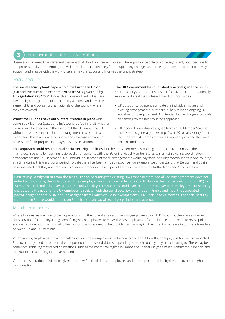#### **3** Employment related considerations

Businesses will need to understand the impact of Brexit on their employees. The impact on people could be significant, both personally and professionally. As an employer it will be vital to plan effectively for the upcoming changes and be ready to communicate proactively, support and engage with the workforce in a way that successfully drives the Brexit strategy.

# Social security

**The social security landscape within the European Union (EU) and the European Economic Area (EEA) is governed by EC Regulation 883/2004**. Under this framework individuals are covered by the legislation of one country at a time and have the same rights and obligations as nationals of the country where they are covered.

#### **Whilst the UK does have old bilateral treaties in place** with

some EU27 Member States and EEA countries (20 in total), whether these would be effective in the event that the UK leaves the EU without an equivalent multilateral arrangement in place remains to be seen. These are limited in scope and coverage and are not necessarily fit for purpose in today's business environment.

**The UK Government has published practical guidance** on the social security contributions position for UK and EU internationally mobile workers if the UK leaves the EU without a deal:

- **•** UK outbound: It depends on date the individual moves and existing arrangements, but there is likely to be an ongoing UK social security requirement. A potential double charge is possible depending on the host country's approach.
- **•** UK inbound: Individuals assigned from an EU Member State to the UK would generally be exempt from UK social security for at least the first 24 months of their assignment provided they meet certain conditions.

**This approach could result in dual social security liabilities**, but the UK Government is working to protect UK nationals in the EU in a no deal scenario by reaching reciprocal arrangements with the EU or individual Member States to maintain existing coordination arrangements until 31 December 2020. Individuals in scope of these arrangements would pay social security contributions in one country at a time during this transitional period. To date there has been a mixed response. For example, we understand that Belgium and Spain have indicated that they are prepared to offer reciprocity in these types of scenarios whereas the Netherlands and Cyprus are not.

**Case study: Assignment from the UK to France.** Assuming the existing UK/ France Bilateral Social Security Agreement does not 24 months, and could also have a social security liability in France. This could lead to double employer and employee social security charges, and the need for the UK employer to register with the social security authorities in France and meet the associated payroll obligations etc. A UK inbound assignee from France would be exempt from UK NIC for up to 24 months. The social security treatment in France would depend on French domestic social security legislation and approach.

# Mobile employees

Where businesses are moving their operations into the EU and as a result, moving employees to an EU27 country, there are a number of considerations for employers e.g. identifying which employees to move, the cost implications for the business, the need to revise policies such as remuneration, pension etc., the support that may need to be provided, and managing the potential increase in business travellers between UK and EU locations.

When moving employees into a particular location, these employees will be concerned about how their net pay position will be impacted. Employers may need to compare the net position for these individuals depending on which country they are relocating to. There may be some favourable regimes in certain locations, such as the impatriate regime in France, the Special Assignee Relief Programme in Ireland, and the 30% expatriate ruling in the Netherlands.

Careful consideration needs to be given as to how Brexit will impact employees and the support provided by the employer throughout this transition.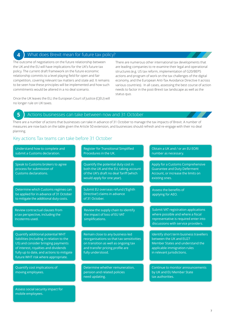### 4 What does Brexit mean for future tax policy?

The outcome of negotiations on the future relationship between the UK and the EU will have implications for the UK's future tax policy. The current draft framework on the future economic relationship commits to a level playing field for open and fair competition, covering relevant tax matters and state aid. It remains to be seen how these principles will be implemented and how such commitments would be altered in a no deal scenario.

Once the UK leaves the EU, the European Court of Justice (CJEU) will no longer rule on UK taxes.

There are numerous other international tax developments that are leading companies to re-examine their legal and operational structures (e.g. US tax reform, implementation of G20/BEPS actions and program of work on the tax challenges of the digital economy, and the European Anti-Tax Avoidance Directive II across various countries). In all cases, assessing the best course of action needs to factor in the post-Brexit tax landscape as well as the status quo.

## **5** Actions businesses can take between now and 31 October

There are a number of actions that businesses can take in advance of 31 October to manage the tax impacts of Brexit. A number of measures are now back on the table given the Article 50 extension, and businesses should refresh and re-engage with their no deal planning.

# Key actions Tax teams can take before 31 October

| Understand how to complete and<br>submit a Customs declaration.                                                                                                                                                                                 | <b>Register for Transitional Simplified</b><br>Procedures in the UK.                                                                                                           | Obtain a UK and / or an EU EORI<br>number as necessary.                                                                                                              |
|-------------------------------------------------------------------------------------------------------------------------------------------------------------------------------------------------------------------------------------------------|--------------------------------------------------------------------------------------------------------------------------------------------------------------------------------|----------------------------------------------------------------------------------------------------------------------------------------------------------------------|
| Speak to Customs brokers to agree<br>process for submission of<br>Customs declarations.                                                                                                                                                         | Quantify the potential duty cost in<br>both the UK and the EU, taking account<br>of the UK's draft no deal Tariff (which<br>would apply for one year).                         | Apply for a Customs Comprehensive<br><b>Guarantee and Duty Deferment</b><br>Account, or increase the limits on<br>existing ones.                                     |
| Determine which Customs regimes can<br>be applied for in advance of 31 October<br>to mitigate the additional duty costs.                                                                                                                        | Submit EU overseas refund ('Eighth<br>Directive') claims in advance<br>of 31 October.                                                                                          | Assess the benefits of<br>applying for AEO.                                                                                                                          |
| Review contractual clauses from<br>a tax perspective, including the<br>Incoterms used.                                                                                                                                                          | Review the supply chain to identify<br>the impact of loss of EU VAT<br>simplifications.                                                                                        | Submit VAT registration applications<br>where possible and where a fiscal<br>representative is required enter into<br>discussions with service providers.            |
| Quantify additional potential WHT<br>liabilities (including in relation to the<br>US) and consider bringing payments<br>of interest, royalties and dividends<br>fully up to date, and actions to mitigate<br>future WHT risk where appropriate. | Remain close to any business-led<br>reorganisations so that tax sensitivities<br>on transition as well as ongoing tax<br>and transfer pricing profile are<br>fully understood. | Identify short term business travellers<br>between the UK and EU27<br>Member States and understand the<br>applicable immigration rules<br>in relevant jurisdictions. |
| Quantify cost implications of<br>moving employees.                                                                                                                                                                                              | Determine whether remuneration,<br>pension and related policies<br>need updating.                                                                                              | Continue to monitor announcements<br>by UK and EU Member State<br>tax authorities.                                                                                   |
| Assess social security impact for<br>mobile employees.                                                                                                                                                                                          |                                                                                                                                                                                |                                                                                                                                                                      |